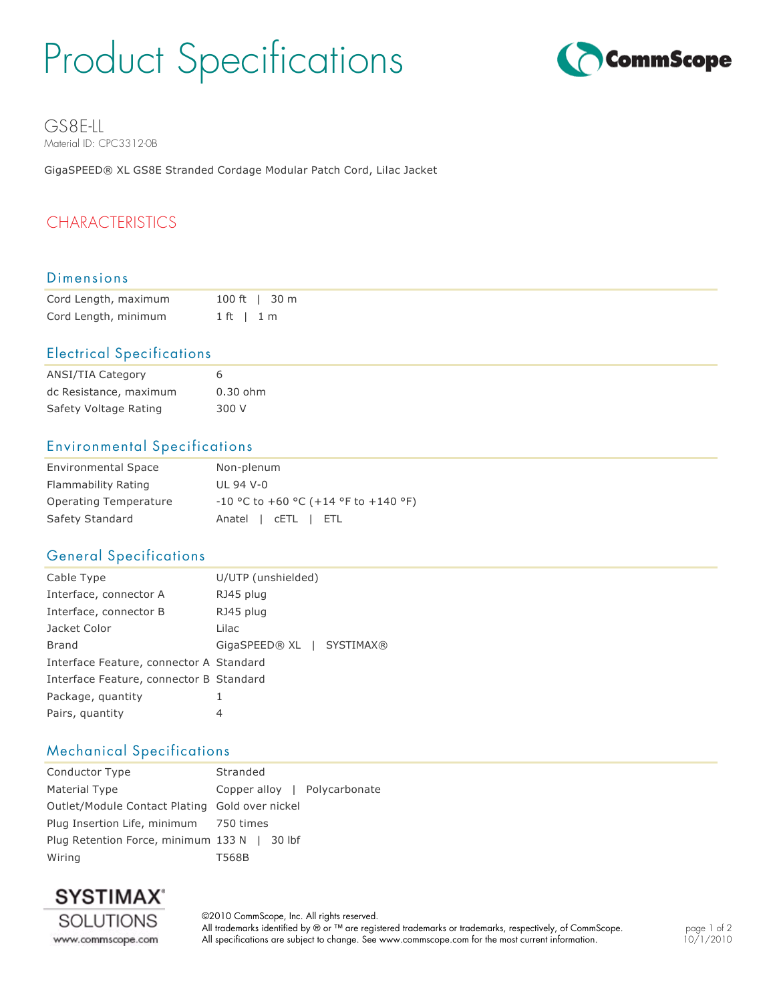# Product Specifications



GS8E-LL Material ID: CPC3312-0B

GigaSPEED® XL GS8E Stranded Cordage Modular Patch Cord, Lilac Jacket

## CHARACTERISTICS

#### Dimensions

| Cord Length, maximum | $100 \text{ ft}$   30 m |
|----------------------|-------------------------|
| Cord Length, minimum | $1 ft + 1 m$            |

#### Electrical Specifications

| ANSI/TIA Category      | 6          |
|------------------------|------------|
| dc Resistance, maximum | $0.30$ ohm |
| Safety Voltage Rating  | 300 V      |

#### Environmental Specifications

| <b>Environmental Space</b> | Non-plenum                             |
|----------------------------|----------------------------------------|
| Flammability Rating        | $III$ 94 V-0                           |
| Operating Temperature      | $-10$ °C to +60 °C (+14 °F to +140 °F) |
| Safety Standard            | Anatel cETL FTL                        |

#### General Specifications

| Cable Type                              | U/UTP (unshielded)        |  |
|-----------------------------------------|---------------------------|--|
| Interface, connector A                  | RJ45 plug                 |  |
| Interface, connector B                  | RJ45 plug                 |  |
| Jacket Color                            | Lilac                     |  |
| Brand                                   | GigaSPEED® XL   SYSTIMAX® |  |
| Interface Feature, connector A Standard |                           |  |
| Interface Feature, connector B Standard |                           |  |
| Package, quantity                       | 1                         |  |
| Pairs, quantity                         | 4                         |  |
|                                         |                           |  |

#### Mechanical Specifications

| Stranded                                       |  |
|------------------------------------------------|--|
| Copper alloy   Polycarbonate                   |  |
| Outlet/Module Contact Plating Gold over nickel |  |
| Plug Insertion Life, minimum 750 times         |  |
| Plug Retention Force, minimum 133 N   30 lbf   |  |
| T568B                                          |  |
|                                                |  |



©2010 CommScope, Inc. All rights reserved. All trademarks identified by ® or ™ are registered trademarks or trademarks, respectively, of CommScope. All specifications are subject to change. See www.commscope.com for the most current information.